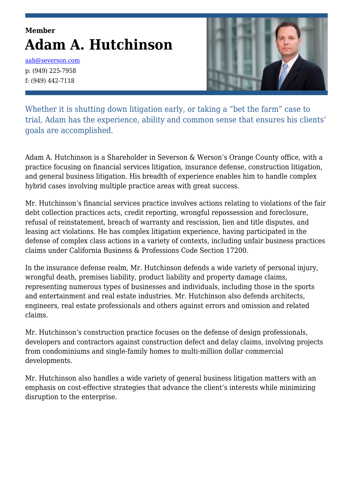# **Member Adam A. Hutchinson**

[aah@severson.com](mailto:aah@severson.com) p: (949) 225-7958 f: (949) 442-7118



Whether it is shutting down litigation early, or taking a "bet the farm" case to trial, Adam has the experience, ability and common sense that ensures his clients' goals are accomplished.

Adam A. Hutchinson is a Shareholder in Severson & Werson's Orange County office, with a practice focusing on financial services litigation, insurance defense, construction litigation, and general business litigation. His breadth of experience enables him to handle complex hybrid cases involving multiple practice areas with great success.

Mr. Hutchinson's financial services practice involves actions relating to violations of the fair debt collection practices acts, credit reporting, wrongful repossession and foreclosure, refusal of reinstatement, breach of warranty and rescission, lien and title disputes, and leasing act violations. He has complex litigation experience, having participated in the defense of complex class actions in a variety of contexts, including unfair business practices claims under California Business & Professions Code Section 17200.

In the insurance defense realm, Mr. Hutchinson defends a wide variety of personal injury, wrongful death, premises liability, product liability and property damage claims, representing numerous types of businesses and individuals, including those in the sports and entertainment and real estate industries. Mr. Hutchinson also defends architects, engineers, real estate professionals and others against errors and omission and related claims.

Mr. Hutchinson's construction practice focuses on the defense of design professionals, developers and contractors against construction defect and delay claims, involving projects from condominiums and single-family homes to multi-million dollar commercial developments.

Mr. Hutchinson also handles a wide variety of general business litigation matters with an emphasis on cost-effective strategies that advance the client's interests while minimizing disruption to the enterprise.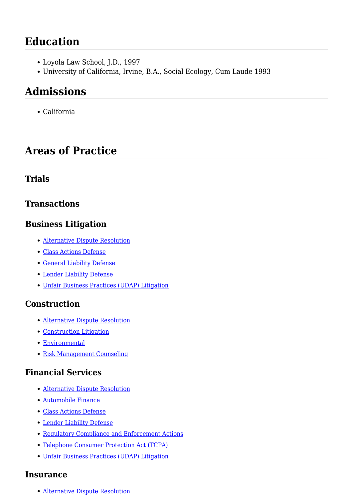# **Education**

- Loyola Law School, J.D., 1997
- University of California, Irvine, B.A., Social Ecology, Cum Laude 1993

# **Admissions**

California

## **Areas of Practice**

### **Trials**

### **Transactions**

### **Business Litigation**

- [Alternative Dispute Resolution](https://www.severson.com/practice-area/alternative-dispute-resolution/)
- [Class Actions Defense](https://www.severson.com/practice-area/class-actions-defense/)
- [General Liability Defense](https://www.severson.com/practice-area/general-liability-defense/)
- [Lender Liability Defense](https://www.severson.com/practice-area/lender-liability-defense/)
- [Unfair Business Practices \(UDAP\) Litigation](https://www.severson.com/practice-area/unfair-business-practices-udap-litigation/)

### **Construction**

- [Alternative Dispute Resolution](https://www.severson.com/practice-area/alternative-dispute-resolution/)
- [Construction Litigation](https://www.severson.com/practice-area/construction-litigation/)
- [Environmental](https://www.severson.com/practice-area/environmental/)
- [Risk Management Counseling](https://www.severson.com/practice-area/risk-management-counseling/)

## **Financial Services**

- [Alternative Dispute Resolution](https://www.severson.com/practice-area/alternative-dispute-resolution/)
- [Automobile Finance](https://www.severson.com/practice-area/automobile-finance/)
- [Class Actions Defense](https://www.severson.com/practice-area/class-actions-defense/)
- [Lender Liability Defense](https://www.severson.com/practice-area/lender-liability-defense/)
- [Regulatory Compliance and Enforcement Actions](https://www.severson.com/practice-area/regulatory-compliance-regulatory-enforcement-actions/)
- [Telephone Consumer Protection Act \(TCPA\)](https://www.severson.com/practice-area/telephone-consumer-protection-act-tcpa/)
- [Unfair Business Practices \(UDAP\) Litigation](https://www.severson.com/practice-area/unfair-business-practices-udap-litigation/)

#### **Insurance**

[Alternative Dispute Resolution](https://www.severson.com/practice-area/alternative-dispute-resolution/)